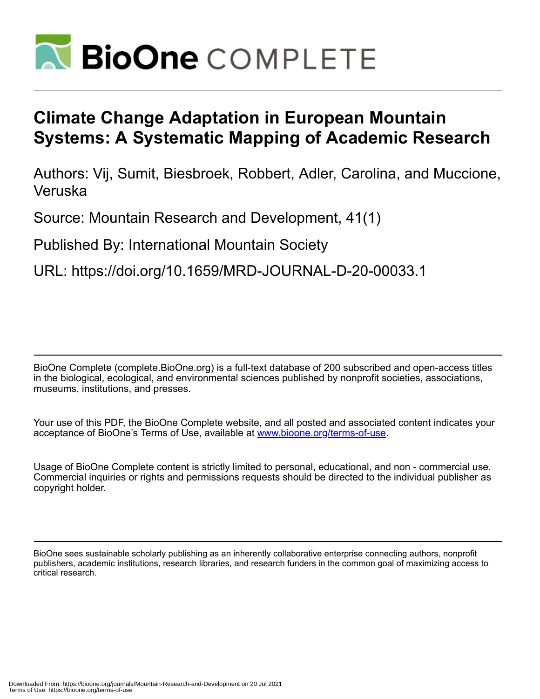

# **Climate Change Adaptation in European Mountain Systems: A Systematic Mapping of Academic Research**

Authors: Vij, Sumit, Biesbroek, Robbert, Adler, Carolina, and Muccione, Veruska

Source: Mountain Research and Development, 41(1)

Published By: International Mountain Society

URL: https://doi.org/10.1659/MRD-JOURNAL-D-20-00033.1

BioOne Complete (complete.BioOne.org) is a full-text database of 200 subscribed and open-access titles in the biological, ecological, and environmental sciences published by nonprofit societies, associations, museums, institutions, and presses.

Your use of this PDF, the BioOne Complete website, and all posted and associated content indicates your acceptance of BioOne's Terms of Use, available at www.bioone.org/terms-of-use.

Usage of BioOne Complete content is strictly limited to personal, educational, and non - commercial use. Commercial inquiries or rights and permissions requests should be directed to the individual publisher as copyright holder.

BioOne sees sustainable scholarly publishing as an inherently collaborative enterprise connecting authors, nonprofit publishers, academic institutions, research libraries, and research funders in the common goal of maximizing access to critical research.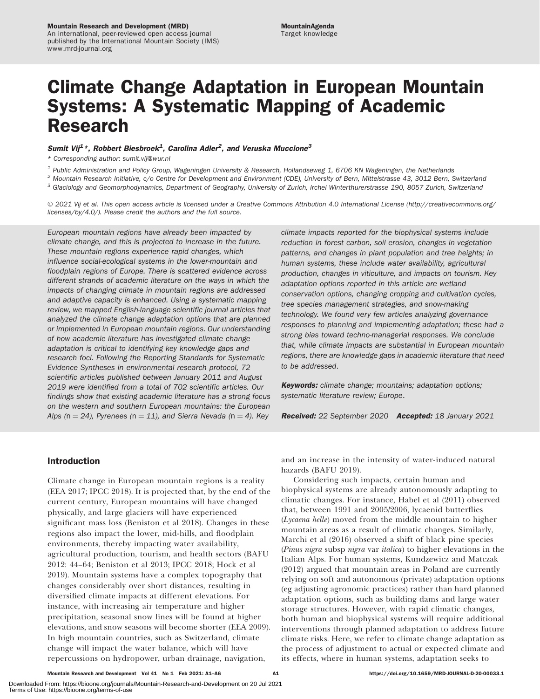# Climate Change Adaptation in European Mountain Systems: A Systematic Mapping of Academic Research

# Sumit Vij<sup>1</sup>\*, Robbert Biesbroek<sup>1</sup>, Carolina Adler<sup>2</sup>, and Veruska Muccione<sup>3</sup>

\* Corresponding author: [sumit.vij@wur.nl](mailto:sumit.vij@wur.nl)

 $1$  Public Administration and Policy Group, Wageningen University & Research, Hollandseweg 1, 6706 KN Wageningen, the Netherlands

 $2$  Mountain Research Initiative, c/o Centre for Development and Environment (CDE), University of Bern, Mittelstrasse 43, 3012 Bern, Switzerland

 $3$  Glaciology and Geomorphodynamics, Department of Geography, University of Zurich, Irchel Winterthurerstrasse 190, 8057 Zurich, Switzerland

- 2021 Vij et al. This open access article is licensed under a Creative Commons Attribution 4.0 International License [\(http://creativecommons.org/](http://creativecommons.org/licenses/by/4.0/) [licenses/by/4.0/](http://creativecommons.org/licenses/by/4.0/)). Please credit the authors and the full source.

European mountain regions have already been impacted by climate change, and this is projected to increase in the future. These mountain regions experience rapid changes, which influence social-ecological systems in the lower-mountain and floodplain regions of Europe. There is scattered evidence across different strands of academic literature on the ways in which the impacts of changing climate in mountain regions are addressed and adaptive capacity is enhanced. Using a systematic mapping review, we mapped English-language scientific journal articles that analyzed the climate change adaptation options that are planned or implemented in European mountain regions. Our understanding of how academic literature has investigated climate change adaptation is critical to identifying key knowledge gaps and research foci. Following the Reporting Standards for Systematic Evidence Syntheses in environmental research protocol, 72 scientific articles published between January 2011 and August 2019 were identified from a total of 702 scientific articles. Our findings show that existing academic literature has a strong focus on the western and southern European mountains: the European Alps (n = 24), Pyrenees (n = 11), and Sierra Nevada (n = 4). Key

climate impacts reported for the biophysical systems include reduction in forest carbon, soil erosion, changes in vegetation patterns, and changes in plant population and tree heights; in human systems, these include water availability, agricultural production, changes in viticulture, and impacts on tourism. Key adaptation options reported in this article are wetland conservation options, changing cropping and cultivation cycles, tree species management strategies, and snow-making technology. We found very few articles analyzing governance responses to planning and implementing adaptation; these had a strong bias toward techno-managerial responses. We conclude that, while climate impacts are substantial in European mountain regions, there are knowledge gaps in academic literature that need to be addressed.

Keywords: climate change; mountains; adaptation options; systematic literature review; Europe.

Received: 22 September 2020 Accepted: 18 January 2021

# Introduction

Climate change in European mountain regions is a reality (EEA 2017; IPCC 2018). It is projected that, by the end of the current century, European mountains will have changed physically, and large glaciers will have experienced significant mass loss (Beniston et al 2018). Changes in these regions also impact the lower, mid-hills, and floodplain environments, thereby impacting water availability, agricultural production, tourism, and health sectors (BAFU 2012: 44–64; Beniston et al 2013; IPCC 2018; Hock et al 2019). Mountain systems have a complex topography that changes considerably over short distances, resulting in diversified climate impacts at different elevations. For instance, with increasing air temperature and higher precipitation, seasonal snow lines will be found at higher elevations, and snow seasons will become shorter (EEA 2009). In high mountain countries, such as Switzerland, climate change will impact the water balance, which will have repercussions on hydropower, urban drainage, navigation,

and an increase in the intensity of water-induced natural hazards (BAFU 2019).

Considering such impacts, certain human and biophysical systems are already autonomously adapting to climatic changes. For instance, Habel et al (2011) observed that, between 1991 and 2005/2006, lycaenid butterflies (Lycaena helle) moved from the middle mountain to higher mountain areas as a result of climatic changes. Similarly, Marchi et al (2016) observed a shift of black pine species (Pinus nigra subsp nigra var italica) to higher elevations in the Italian Alps. For human systems, Kundzewicz and Matczak (2012) argued that mountain areas in Poland are currently relying on soft and autonomous (private) adaptation options (eg adjusting agronomic practices) rather than hard planned adaptation options, such as building dams and large water storage structures. However, with rapid climatic changes, both human and biophysical systems will require additional interventions through planned adaptation to address future climate risks. Here, we refer to climate change adaptation as the process of adjustment to actual or expected climate and its effects, where in human systems, adaptation seeks to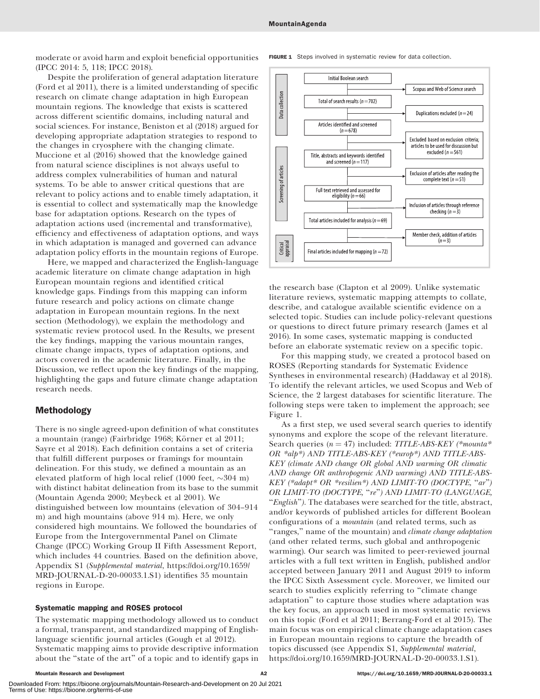moderate or avoid harm and exploit beneficial opportunities (IPCC 2014: 5, 118; IPCC 2018).

Despite the proliferation of general adaptation literature (Ford et al 2011), there is a limited understanding of specific research on climate change adaptation in high European mountain regions. The knowledge that exists is scattered across different scientific domains, including natural and social sciences. For instance, Beniston et al (2018) argued for developing appropriate adaptation strategies to respond to the changes in cryosphere with the changing climate. Muccione et al (2016) showed that the knowledge gained from natural science disciplines is not always useful to address complex vulnerabilities of human and natural systems. To be able to answer critical questions that are relevant to policy actions and to enable timely adaptation, it is essential to collect and systematically map the knowledge base for adaptation options. Research on the types of adaptation actions used (incremental and transformative), efficiency and effectiveness of adaptation options, and ways in which adaptation is managed and governed can advance adaptation policy efforts in the mountain regions of Europe.

Here, we mapped and characterized the English-language academic literature on climate change adaptation in high European mountain regions and identified critical knowledge gaps. Findings from this mapping can inform future research and policy actions on climate change adaptation in European mountain regions. In the next section (Methodology), we explain the methodology and systematic review protocol used. In the Results, we present the key findings, mapping the various mountain ranges, climate change impacts, types of adaptation options, and actors covered in the academic literature. Finally, in the Discussion, we reflect upon the key findings of the mapping, highlighting the gaps and future climate change adaptation research needs.

# Methodology

There is no single agreed-upon definition of what constitutes a mountain (range) (Fairbridge 1968; Körner et al 2011; Sayre et al 2018). Each definition contains a set of criteria that fulfill different purposes or framings for mountain delineation. For this study, we defined a mountain as an elevated platform of high local relief (1000 feet,  $\sim 304$  m) with distinct habitat delineation from its base to the summit (Mountain Agenda 2000; Meybeck et al 2001). We distinguished between low mountains (elevation of 304–914 m) and high mountains (above 914 m). Here, we only considered high mountains. We followed the boundaries of Europe from the Intergovernmental Panel on Climate Change (IPCC) Working Group II Fifth Assessment Report, which includes 44 countries. Based on the definition above, Appendix S1 (Supplemental material, [https://doi.org/10.1659/](https://doi.org/10.1659/MRD-JOURNAL-D-20-00033.1.S1) [MRD-JOURNAL-D-20-00033.1.S1\)](https://doi.org/10.1659/MRD-JOURNAL-D-20-00033.1.S1) identifies 35 mountain regions in Europe.

## Systematic mapping and ROSES protocol

The systematic mapping methodology allowed us to conduct a formal, transparent, and standardized mapping of Englishlanguage scientific journal articles (Gough et al 2012). Systematic mapping aims to provide descriptive information about the ''state of the art'' of a topic and to identify gaps in **FIGURE 1** Steps involved in systematic review for data collection.



the research base (Clapton et al 2009). Unlike systematic literature reviews, systematic mapping attempts to collate, describe, and catalogue available scientific evidence on a selected topic. Studies can include policy-relevant questions or questions to direct future primary research (James et al 2016). In some cases, systematic mapping is conducted before an elaborate systematic review on a specific topic.

For this mapping study, we created a protocol based on ROSES (Reporting standards for Systematic Evidence Syntheses in environmental research) (Haddaway et al 2018). To identify the relevant articles, we used Scopus and Web of Science, the 2 largest databases for scientific literature. The following steps were taken to implement the approach; see Figure 1.

As a first step, we used several search queries to identify synonyms and explore the scope of the relevant literature. Search queries ( $n = 47$ ) included: TITLE-ABS-KEY (\*mounta\* OR \*alp\*) AND TITLE-ABS-KEY (\*europ\*) AND TITLE-ABS-KEY (climate AND change OR global AND warming OR climatic AND change OR anthropogenic AND warming) AND TITLE-ABS-KEY (\*adapt\* OR \*resilien\*) AND LIMIT-TO (DOCTYPE, ''ar'') OR LIMIT-TO (DOCTYPE, ''re'') AND LIMIT-TO (LANGUAGE, "English"). The databases were searched for the title, abstract, and/or keywords of published articles for different Boolean configurations of a mountain (and related terms, such as "ranges," name of the mountain) and *climate change adaptation* (and other related terms, such global and anthropogenic warming). Our search was limited to peer-reviewed journal articles with a full text written in English, published and/or accepted between January 2011 and August 2019 to inform the IPCC Sixth Assessment cycle. Moreover, we limited our search to studies explicitly referring to "climate change adaptation'' to capture those studies where adaptation was the key focus, an approach used in most systematic reviews on this topic (Ford et al 2011; Berrang-Ford et al 2015). The main focus was on empirical climate change adaptation cases in European mountain regions to capture the breadth of topics discussed (see Appendix S1, Supplemental material, <https://doi.org/10.1659/MRD-JOURNAL-D-20-00033.1.S1>).

Downloaded From: https://bioone.org/journals/Mountain-Research-and-Development on 20 Jul 2021 Terms of Use: https://bioone.org/terms-of-use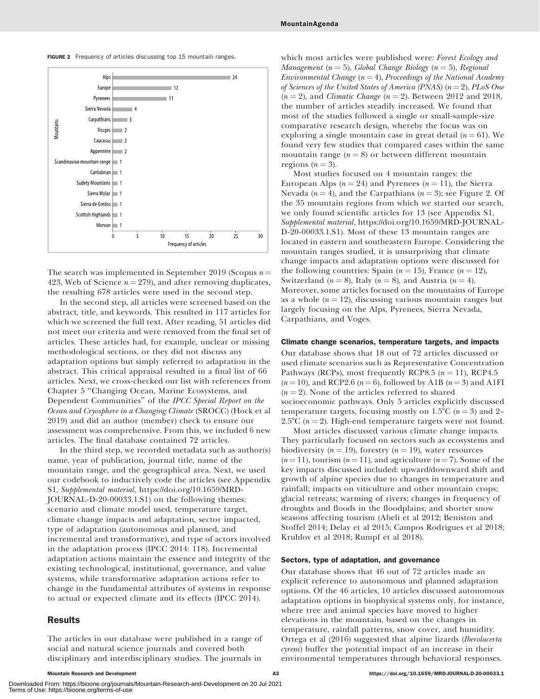FIGURE 2 Frequency of articles discussing top 15 mountain ranges.



The search was implemented in September 2019 (Scopus  $n =$ 423, Web of Science  $n = 279$ , and after removing duplicates, the resulting 678 articles were used in the second step.

In the second step, all articles were screened based on the abstract, title, and keywords. This resulted in 117 articles for which we screened the full text. After reading, 51 articles did not meet our criteria and were removed from the final set of articles. These articles had, for example, unclear or missing methodological sections, or they did not discuss any adaptation options but simply referred to adaptation in the abstract. This critical appraisal resulted in a final list of 66 articles. Next, we cross-checked our list with references from Chapter 5 ''Changing Ocean, Marine Ecosystems, and Dependent Communities'' of the IPCC Special Report on the Ocean and Cryosphere in a Changing Climate (SROCC) (Hock et al 2019) and did an author (member) check to ensure our assessment was comprehensive. From this, we included 6 new articles. The final database contained 72 articles.

In the third step, we recorded metadata such as author(s) name, year of publication, journal title, name of the mountain range, and the geographical area. Next, we used our codebook to inductively code the articles (see Appendix S1, Supplemental material, [https://doi.org/10.1659/MRD-](https://doi.org/10.1659/MRD-JOURNAL-D-20-00033.1.S1)[JOURNAL-D-20-00033.1.S1](https://doi.org/10.1659/MRD-JOURNAL-D-20-00033.1.S1)) on the following themes: scenario and climate model used, temperature target, climate change impacts and adaptation, sector impacted, type of adaptation (autonomous and planned, and incremental and transformative), and type of actors involved in the adaptation process (IPCC 2014: 118). Incremental adaptation actions maintain the essence and integrity of the existing technological, institutional, governance, and value systems, while transformative adaptation actions refer to change in the fundamental attributes of systems in response to actual or expected climate and its effects (IPCC 2014).

# Results

The articles in our database were published in a range of social and natural science journals and covered both disciplinary and interdisciplinary studies. The journals in

which most articles were published were: Forest Ecology and Management ( $n = 5$ ), Global Change Biology ( $n = 5$ ), Regional Environmental Change  $(n = 4)$ , Proceedings of the National Academy of Sciences of the United States of America (PNAS) ( $n=2$ ), PLoS One  $(n = 2)$ , and *Climatic Change*  $(n = 2)$ . Between 2012 and 2018, the number of articles steadily increased. We found that most of the studies followed a single or small-sample-size comparative research design, whereby the focus was on exploring a single mountain case in great detail  $(n = 61)$ . We found very few studies that compared cases within the same mountain range  $(n = 8)$  or between different mountain regions  $(n = 3)$ .

Most studies focused on 4 mountain ranges: the European Alps ( $n = 24$ ) and Pyrenees ( $n = 11$ ), the Sierra Nevada ( $n = 4$ ), and the Carpathians ( $n = 3$ ); see Figure 2. Of the 35 mountain regions from which we started our search, we only found scientific articles for 13 (see Appendix S1, Supplemental material, [https://doi.org/10.1659/MRD-JOURNAL-](https://doi.org/10.1659/MRD-JOURNAL-D-20-00033.1.S1)[D-20-00033.1.S1](https://doi.org/10.1659/MRD-JOURNAL-D-20-00033.1.S1)). Most of these 13 mountain ranges are located in eastern and southeastern Europe. Considering the mountain ranges studied, it is unsurprising that climate change impacts and adaptation options were discussed for the following countries: Spain ( $n = 15$ ), France ( $n = 12$ ), Switzerland ( $n = 8$ ), Italy ( $n = 8$ ), and Austria ( $n = 4$ ). Moreover, some articles focused on the mountains of Europe as a whole  $(n = 12)$ , discussing various mountain ranges but largely focusing on the Alps, Pyrenees, Sierra Nevada, Carpathians, and Voges.

### Climate change scenarios, temperature targets, and impacts

Our database shows that 18 out of 72 articles discussed or used climate scenarios such as Representative Concentration Pathways (RCPs), most frequently RCP8.5 ( $n = 11$ ), RCP4.5  $(n=10)$ , and RCP2.6  $(n=6)$ , followed by A1B  $(n=3)$  and A1FI  $(n = 2)$ . None of the articles referred to shared socioeconomic pathways. Only 5 articles explicitly discussed temperature targets, focusing mostly on 1.5°C ( $n = 3$ ) and 2– 2.5°C ( $n = 2$ ). High-end temperature targets were not found.

Most articles discussed various climate change impacts. They particularly focused on sectors such as ecosystems and biodiversity ( $n = 19$ ), forestry ( $n = 19$ ), water resources  $(n = 11)$ , tourism  $(n = 11)$ , and agriculture  $(n = 7)$ . Some of the key impacts discussed included: upward/downward shift and growth of alpine species due to changes in temperature and rainfall; impacts on viticulture and other mountain crops; glacial retreats; warming of rivers; changes in frequency of droughts and floods in the floodplains; and shorter snow seasons affecting tourism (Abeli et al 2012; Beniston and Stoffel 2014; Delay et al 2015; Campos Rodrigues et al 2018; Kruhlov et al 2018; Rumpf et al 2018).

#### Sectors, type of adaptation, and governance

Our database shows that 46 out of 72 articles made an explicit reference to autonomous and planned adaptation options. Of the 46 articles, 10 articles discussed autonomous adaptation options in biophysical systems only, for instance, where tree and animal species have moved to higher elevations in the mountain, based on the changes in temperature, rainfall patterns, snow cover, and humidity. Ortega et al (2016) suggested that alpine lizards (Iberolacerta cyreni) buffer the potential impact of an increase in their environmental temperatures through behavioral responses.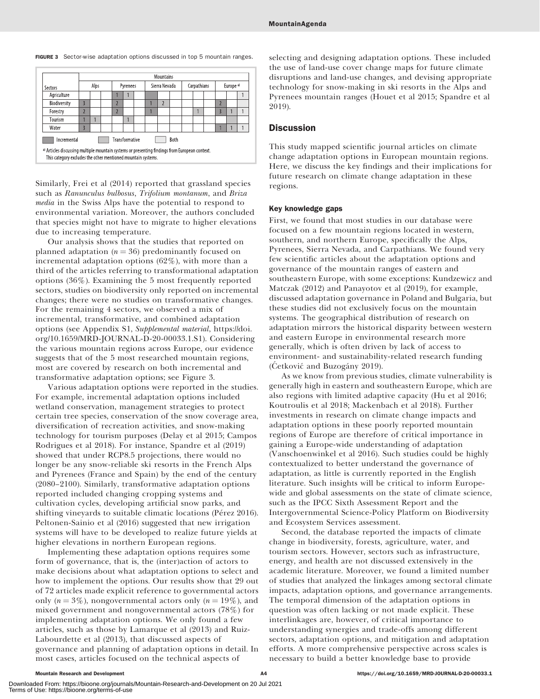|                                                                                                                                                                | <b>Mountains</b> |  |                       |                |  |      |               |                |  |             |  |  |                      |  |  |
|----------------------------------------------------------------------------------------------------------------------------------------------------------------|------------------|--|-----------------------|----------------|--|------|---------------|----------------|--|-------------|--|--|----------------------|--|--|
| Sectors                                                                                                                                                        | Alps             |  |                       | Pyrenees       |  |      | Sierra Nevada |                |  | Carpathians |  |  | Europe <sup>a)</sup> |  |  |
| Agriculture                                                                                                                                                    |                  |  |                       |                |  |      |               |                |  |             |  |  |                      |  |  |
| Biodiversity                                                                                                                                                   | 3                |  |                       | $\overline{2}$ |  |      |               | $\overline{2}$ |  |             |  |  | $\overline{2}$       |  |  |
| Forestry                                                                                                                                                       | $\overline{ }$   |  |                       | $\overline{2}$ |  |      |               |                |  |             |  |  | Ŗ                    |  |  |
| Tourism                                                                                                                                                        |                  |  |                       |                |  |      |               |                |  |             |  |  |                      |  |  |
| Water                                                                                                                                                          | $\overline{3}$   |  |                       |                |  |      |               |                |  |             |  |  |                      |  |  |
| Incremental                                                                                                                                                    |                  |  | <b>Transformative</b> |                |  | Both |               |                |  |             |  |  |                      |  |  |
| a) Articles discussing multiple mountain systems or presenting findings from European context.<br>This category excludes the other mentioned mountain systems. |                  |  |                       |                |  |      |               |                |  |             |  |  |                      |  |  |

FIGURE 3 Sector-wise adaptation options discussed in top 5 mountain ranges.

Similarly, Frei et al (2014) reported that grassland species such as Ranunculus bulbosus, Trifolium montanum, and Briza media in the Swiss Alps have the potential to respond to environmental variation. Moreover, the authors concluded that species might not have to migrate to higher elevations due to increasing temperature.

Our analysis shows that the studies that reported on planned adaptation  $(n = 36)$  predominantly focused on incremental adaptation options (62%), with more than a third of the articles referring to transformational adaptation options (36%). Examining the 5 most frequently reported sectors, studies on biodiversity only reported on incremental changes; there were no studies on transformative changes. For the remaining 4 sectors, we observed a mix of incremental, transformative, and combined adaptation options (see Appendix S1, Supplemental material, [https://doi.](https://doi.org/10.1659/MRD-JOURNAL-D-20-00033.1.S1) [org/10.1659/MRD-JOURNAL-D-20-00033.1.S1\)](https://doi.org/10.1659/MRD-JOURNAL-D-20-00033.1.S1). Considering the various mountain regions across Europe, our evidence suggests that of the 5 most researched mountain regions, most are covered by research on both incremental and transformative adaptation options; see Figure 3.

Various adaptation options were reported in the studies. For example, incremental adaptation options included wetland conservation, management strategies to protect certain tree species, conservation of the snow coverage area, diversification of recreation activities, and snow-making technology for tourism purposes (Delay et al 2015; Campos Rodrigues et al 2018). For instance, Spandre et al (2019) showed that under RCP8.5 projections, there would no longer be any snow-reliable ski resorts in the French Alps and Pyrenees (France and Spain) by the end of the century (2080–2100). Similarly, transformative adaptation options reported included changing cropping systems and cultivation cycles, developing artificial snow parks, and shifting vineyards to suitable climatic locations (Pérez 2016). Peltonen-Sainio et al (2016) suggested that new irrigation systems will have to be developed to realize future yields at higher elevations in northern European regions.

Implementing these adaptation options requires some form of governance, that is, the (inter)action of actors to make decisions about what adaptation options to select and how to implement the options. Our results show that 29 out of 72 articles made explicit reference to governmental actors only ( $n = 3\%$ ), nongovernmental actors only ( $n = 19\%$ ), and mixed government and nongovernmental actors (78%) for implementing adaptation options. We only found a few articles, such as those by Lamarque et al (2013) and Ruiz-Labourdette et al (2013), that discussed aspects of governance and planning of adaptation options in detail. In most cases, articles focused on the technical aspects of

selecting and designing adaptation options. These included the use of land-use cover change maps for future climate disruptions and land-use changes, and devising appropriate technology for snow-making in ski resorts in the Alps and Pyrenees mountain ranges (Houet et al 2015; Spandre et al 2019).

## **Discussion**

This study mapped scientific journal articles on climate change adaptation options in European mountain regions. Here, we discuss the key findings and their implications for future research on climate change adaptation in these regions.

## Key knowledge gaps

First, we found that most studies in our database were focused on a few mountain regions located in western, southern, and northern Europe, specifically the Alps, Pyrenees, Sierra Nevada, and Carpathians. We found very few scientific articles about the adaptation options and governance of the mountain ranges of eastern and southeastern Europe, with some exceptions: Kundzewicz and Matczak (2012) and Panayotov et al (2019), for example, discussed adaptation governance in Poland and Bulgaria, but these studies did not exclusively focus on the mountain systems. The geographical distribution of research on adaptation mirrors the historical disparity between western and eastern Europe in environmental research more generally, which is often driven by lack of access to environment- and sustainability-related research funding  $(Cetković and Buzogány 2019)$ .

As we know from previous studies, climate vulnerability is generally high in eastern and southeastern Europe, which are also regions with limited adaptive capacity (Hu et al 2016; Koutroulis et al 2018; Mackenbach et al 2018). Further investments in research on climate change impacts and adaptation options in these poorly reported mountain regions of Europe are therefore of critical importance in gaining a Europe-wide understanding of adaptation (Vanschoenwinkel et al 2016). Such studies could be highly contextualized to better understand the governance of adaptation, as little is currently reported in the English literature. Such insights will be critical to inform Europewide and global assessments on the state of climate science, such as the IPCC Sixth Assessment Report and the Intergovernmental Science-Policy Platform on Biodiversity and Ecosystem Services assessment.

Second, the database reported the impacts of climate change in biodiversity, forests, agriculture, water, and tourism sectors. However, sectors such as infrastructure, energy, and health are not discussed extensively in the academic literature. Moreover, we found a limited number of studies that analyzed the linkages among sectoral climate impacts, adaptation options, and governance arrangements. The temporal dimension of the adaptation options in question was often lacking or not made explicit. These interlinkages are, however, of critical importance to understanding synergies and trade-offs among different sectors, adaptation options, and mitigation and adaptation efforts. A more comprehensive perspective across scales is necessary to build a better knowledge base to provide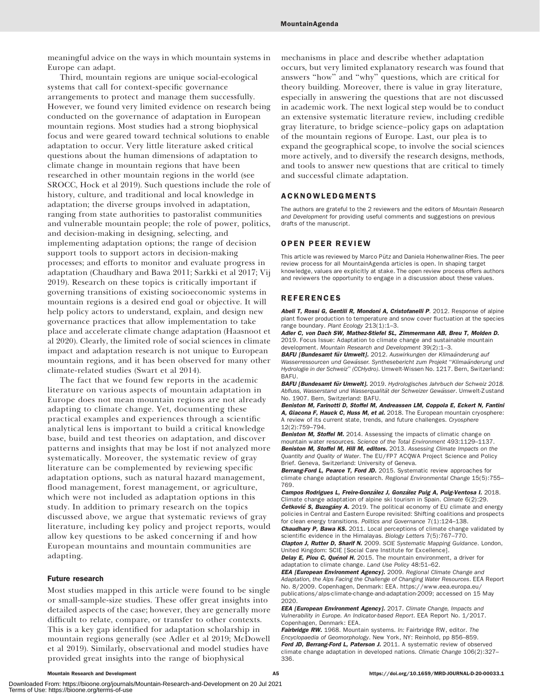meaningful advice on the ways in which mountain systems in Europe can adapt.

Third, mountain regions are unique social-ecological systems that call for context-specific governance arrangements to protect and manage them successfully. However, we found very limited evidence on research being conducted on the governance of adaptation in European mountain regions. Most studies had a strong biophysical focus and were geared toward technical solutions to enable adaptation to occur. Very little literature asked critical questions about the human dimensions of adaptation to climate change in mountain regions that have been researched in other mountain regions in the world (see SROCC, Hock et al 2019). Such questions include the role of history, culture, and traditional and local knowledge in adaptation; the diverse groups involved in adaptation, ranging from state authorities to pastoralist communities and vulnerable mountain people; the role of power, politics, and decision-making in designing, selecting, and implementing adaptation options; the range of decision support tools to support actors in decision-making processes; and efforts to monitor and evaluate progress in adaptation (Chaudhary and Bawa 2011; Sarkki et al 2017; Vij 2019). Research on these topics is critically important if governing transitions of existing socioeconomic systems in mountain regions is a desired end goal or objective. It will help policy actors to understand, explain, and design new governance practices that allow implementation to take place and accelerate climate change adaptation (Haasnoot et al 2020). Clearly, the limited role of social sciences in climate impact and adaptation research is not unique to European mountain regions, and it has been observed for many other climate-related studies (Swart et al 2014).

The fact that we found few reports in the academic literature on various aspects of mountain adaptation in Europe does not mean mountain regions are not already adapting to climate change. Yet, documenting these practical examples and experiences through a scientific analytical lens is important to build a critical knowledge base, build and test theories on adaptation, and discover patterns and insights that may be lost if not analyzed more systematically. Moreover, the systematic review of gray literature can be complemented by reviewing specific adaptation options, such as natural hazard management, flood management, forest management, or agriculture, which were not included as adaptation options in this study. In addition to primary research on the topics discussed above, we argue that systematic reviews of gray literature, including key policy and project reports, would allow key questions to be asked concerning if and how European mountains and mountain communities are adapting.

## Future research

Most studies mapped in this article were found to be single or small-sample-size studies. These offer great insights into detailed aspects of the case; however, they are generally more difficult to relate, compare, or transfer to other contexts. This is a key gap identified for adaptation scholarship in mountain regions generally (see Adler et al 2019; McDowell et al 2019). Similarly, observational and model studies have provided great insights into the range of biophysical

mechanisms in place and describe whether adaptation occurs, but very limited explanatory research was found that answers ''how'' and ''why'' questions, which are critical for theory building. Moreover, there is value in gray literature, especially in answering the questions that are not discussed in academic work. The next logical step would be to conduct an extensive systematic literature review, including credible gray literature, to bridge science–policy gaps on adaptation of the mountain regions of Europe. Last, our plea is to expand the geographical scope, to involve the social sciences more actively, and to diversify the research designs, methods, and tools to answer new questions that are critical to timely and successful climate adaptation.

## ACKNOWLEDGMENTS

The authors are grateful to the 2 reviewers and the editors of Mountain Research and Development for providing useful comments and suggestions on previous drafts of the manuscript.

## OPEN PEER REVIEW

This article was reviewed by Marco Pütz and Daniela Hohenwallner-Ries. The peer review process for all MountainAgenda articles is open. In shaping target knowledge, values are explicitly at stake. The open review process offers authors and reviewers the opportunity to engage in a discussion about these values.

## REFERENCES

Abeli T, Rossi G, Gentili R, Mondoni A, Cristofanelli P. 2012. Response of alpine plant flower production to temperature and snow cover fluctuation at the species range boundary. Plant Ecology 213(1):1–3.

Adler C, von Dach SW, Mathez-Stiefel SL, Zimmermann AB, Breu T, Molden D. 2019. Focus Issue: Adaptation to climate change and sustainable mountain development. Mountain Research and Development 39(2):1–3.

BAFU [Bundesamt für Umwelt]. 2012. Auswirkungen der Klimaänderung auf Wasserressourcen und Gewässer. Synthesebericht zum Projekt "Klimaänderung und Hydrologie in der Schweiz'' (CCHydro). Umwelt-Wissen No. 1217. Bern, Switzerland: BAFU.

BAFU [Bundesamt für Umwelt]. 2019. Hydrologisches Jahrbuch der Schweiz 2018. Abfluss, Wasserstand und Wasserqualität der Schweizer Gewässer. Umwelt-Zustand No. 1907. Bern, Switzerland: BAFU.

Beniston M, Farinotti D, Stoffel M, Andreassen LM, Coppola E, Eckert N, Fantini A, Giacona F, Hauck C, Huss M, et al. 2018. The European mountain cryosphere: A review of its current state, trends, and future challenges. Cryosphere 12(2):759–794.

Beniston M, Stoffel M. 2014. Assessing the impacts of climatic change on mountain water resources. Science of the Total Environment 493:1129–1137. Beniston M, Stoffel M, Hill M, editors. 2013. Assessing Climate Impacts on the Quantity and Quality of Water. The EU/FP7 ACQWA Project Science and Policy Brief. Geneva, Switzerland: University of Geneva.

Berrang-Ford L, Pearce T, Ford JD. 2015. Systematic review approaches for climate change adaptation research. Regional Environmental Change 15(5):755– 769.

Campos Rodrigues L, Freire-González J, González Puig A, Puig-Ventosa I. 2018. Climate change adaptation of alpine ski tourism in Spain. Climate 6(2):29. **Cetković S, Buzogány A.** 2019. The political economy of EU climate and energy policies in Central and Eastern Europe revisited: Shifting coalitions and prospects for clean energy transitions. Politics and Governance 7(1):124-138.

Chaudhary P, Bawa KS. 2011. Local perceptions of climate change validated by scientific evidence in the Himalayas. Biology Letters 7(5):767–770.

Clapton J, Rutter D, Sharif N. 2009. SCIE Systematic Mapping Guidance. London, United Kingdom: SCIE [Social Care Institute for Excellence].

Delay E, Piou C, Quénol H. 2015. The mountain environment, a driver for adaptation to climate change. Land Use Policy 48:51–62.

EEA [European Environment Agency]. 2009. Regional Climate Change and Adaptation, the Alps Facing the Challenge of Changing Water Resources. EEA Report No. 8/2009. Copenhagen, Denmark: EEA. [https://www.eea.europa.eu/](https://www.eea.europa.eu/publications/alps-climate-change-and-adaptation-2009) [publications/alps-climate-change-and-adaptation-2009](https://www.eea.europa.eu/publications/alps-climate-change-and-adaptation-2009); accessed on 15 May 2020.

**EEA [European Environment Agency].** 2017. Climate Change, Impacts and Vulnerability in Europe. An Indicator-based Report. EEA Report No. 1/2017. Copenhagen, Denmark: EEA.

Fairbridge RW. 1968. Mountain systems. In: Fairbridge RW, editor. The Encyclopaedia of Geomorphology. New York, NY: Reinhold, pp 856–859. Ford JD, Berrang-Ford L, Paterson J. 2011. A systematic review of observed climate change adaptation in developed nations. Climatic Change 106(2):327– 336.